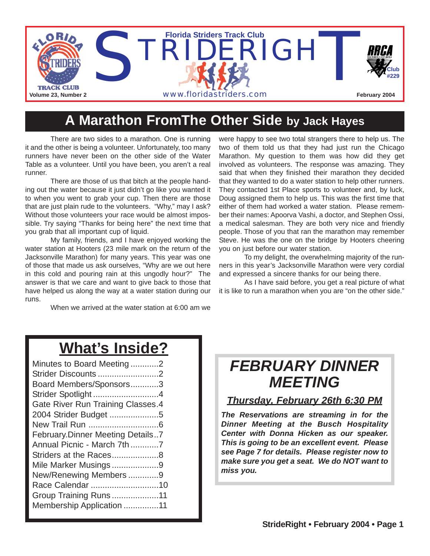

## **A Marathon FromThe Other Side by Jack Hayes**

There are two sides to a marathon. One is running it and the other is being a volunteer. Unfortunately, too many runners have never been on the other side of the Water Table as a volunteer. Until you have been, you aren't a real runner.

There are those of us that bitch at the people handing out the water because it just didn't go like you wanted it to when you went to grab your cup. Then there are those that are just plain rude to the volunteers. "Why," may I ask? Without those volunteers your race would be almost impossible. Try saying "Thanks for being here" the next time that you grab that all important cup of liquid.

My family, friends, and I have enjoyed working the water station at Hooters (23 mile mark on the return of the Jacksonville Marathon) for many years. This year was one of those that made us ask ourselves, "Why are we out here in this cold and pouring rain at this ungodly hour?" The answer is that we care and want to give back to those that have helped us along the way at a water station during our runs.

When we arrived at the water station at 6:00 am we

were happy to see two total strangers there to help us. The two of them told us that they had just run the Chicago Marathon. My question to them was how did they get involved as volunteers. The response was amazing. They said that when they finished their marathon they decided that they wanted to do a water station to help other runners. They contacted 1st Place sports to volunteer and, by luck, Doug assigned them to help us. This was the first time that either of them had worked a water station. Please remember their names: Apoorva Vashi, a doctor, and Stephen Ossi, a medical salesman. They are both very nice and friendly people. Those of you that ran the marathon may remember Steve. He was the one on the bridge by Hooters cheering you on just before our water station.

To my delight, the overwhelming majority of the runners in this year's Jacksonville Marathon were very cordial and expressed a sincere thanks for our being there.

As I have said before, you get a real picture of what it is like to run a marathon when you are "on the other side."

## **What's Inside?**

| Minutes to Board Meeting2               |
|-----------------------------------------|
| Strider Discounts 2                     |
| Board Members/Sponsors3                 |
| Strider Spotlight 4                     |
| Gate River Run Training Classes.4       |
| 2004 Strider Budget 5                   |
|                                         |
| <b>February.Dinner Meeting Details7</b> |
| Annual Picnic - March 7th7              |
| Striders at the Races8                  |
| Mile Marker Musings9                    |
| New/Renewing Members9                   |
| Race Calendar 10                        |
| Group Training Runs11                   |
| Membership Application 11               |
|                                         |

## *FEBRUARY DINNER MEETING*

### *Thursday, February 26th 6:30 PM*

*The Reservations are streaming in for the Dinner Meeting at the Busch Hospitality Center with Donna Hicken as our speaker. This is going to be an excellent event. Please see Page 7 for details. Please register now to make sure you get a seat. We do NOT want to miss you.*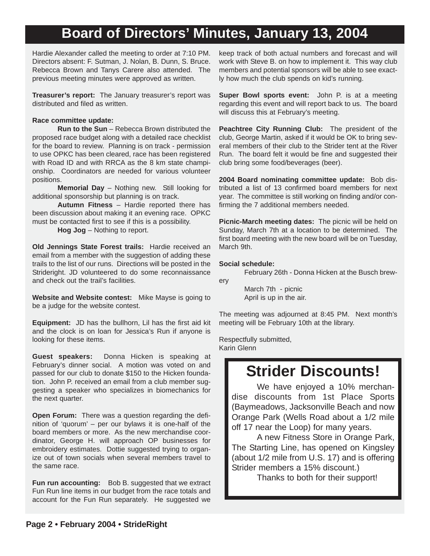## **Board of Directors' Minutes, January 13, 2004**

Hardie Alexander called the meeting to order at 7:10 PM. Directors absent: F. Sutman, J. Nolan, B. Dunn, S. Bruce. Rebecca Brown and Tanys Carere also attended. The previous meeting minutes were approved as written.

**Treasurer's report:** The January treasurer's report was distributed and filed as written.

#### **Race committee update:**

**Run to the Sun** – Rebecca Brown distributed the proposed race budget along with a detailed race checklist for the board to review. Planning is on track - permission to use OPKC has been cleared, race has been registered with Road ID and with RRCA as the 8 km state championship. Coordinators are needed for various volunteer positions.

**Memorial Day** – Nothing new. Still looking for additional sponsorship but planning is on track.

**Autumn Fitness** – Hardie reported there has been discussion about making it an evening race. OPKC must be contacted first to see if this is a possibility.

**Hog Jog** – Nothing to report.

**Old Jennings State Forest trails:** Hardie received an email from a member with the suggestion of adding these trails to the list of our runs. Directions will be posted in the Strideright. JD volunteered to do some reconnaissance and check out the trail's facilities.

**Website and Website contest:** Mike Mayse is going to be a judge for the website contest.

**Equipment:** JD has the bullhorn, Lil has the first aid kit and the clock is on loan for Jessica's Run if anyone is looking for these items.

**Guest speakers:** Donna Hicken is speaking at February's dinner social. A motion was voted on and passed for our club to donate \$150 to the Hicken foundation. John P. received an email from a club member suggesting a speaker who specializes in biomechanics for the next quarter.

**Open Forum:** There was a question regarding the definition of 'quorum' – per our bylaws it is one-half of the board members or more. As the new merchandise coordinator, George H. will approach OP businesses for embroidery estimates. Dottie suggested trying to organize out of town socials when several members travel to the same race.

**Fun run accounting:** Bob B. suggested that we extract Fun Run line items in our budget from the race totals and account for the Fun Run separately. He suggested we

keep track of both actual numbers and forecast and will work with Steve B. on how to implement it. This way club members and potential sponsors will be able to see exactly how much the club spends on kid's running.

**Super Bowl sports event:** John P. is at a meeting regarding this event and will report back to us. The board will discuss this at February's meeting.

**Peachtree City Running Club:** The president of the club, George Martin, asked if it would be OK to bring several members of their club to the Strider tent at the River Run. The board felt it would be fine and suggested their club bring some food/beverages (beer).

**2004 Board nominating committee update:** Bob distributed a list of 13 confirmed board members for next year. The committee is still working on finding and/or confirming the 7 additional members needed.

**Picnic-March meeting dates:** The picnic will be held on Sunday, March 7th at a location to be determined. The first board meeting with the new board will be on Tuesday, March 9th.

#### **Social schedule:**

February 26th - Donna Hicken at the Busch brewery

> March 7th - picnic April is up in the air.

The meeting was adjourned at 8:45 PM. Next month's meeting will be February 10th at the library.

Respectfully submitted, Karin Glenn

## **Strider Discounts!**

We have enjoyed a 10% merchandise discounts from 1st Place Sports (Baymeadows, Jacksonville Beach and now Orange Park (Wells Road about a 1/2 mile off 17 near the Loop) for many years.

A new Fitness Store in Orange Park, The Starting Line, has opened on Kingsley (about 1/2 mile from U.S. 17) and is offering Strider members a 15% discount.)

Thanks to both for their support!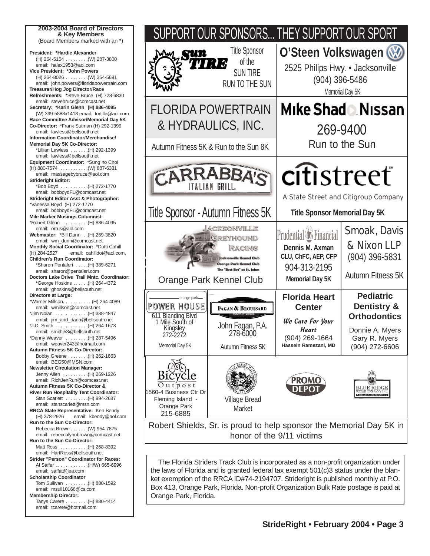| 2003-2004 Board of Directors<br>& Key Members                                                                                                 |                |
|-----------------------------------------------------------------------------------------------------------------------------------------------|----------------|
| (Board Members marked with an *)                                                                                                              |                |
| President: *Hardie Alexander<br>(H) 264-5154 (W) 287-3800<br>email: halex1953@aol.com                                                         |                |
| Vice President: *John Powers<br>(H) 264-8026 (W) 354-5691<br>email: john.powers@floridapowertrain.com                                         |                |
| Treasurer/Hog Jog Director/Race<br>Refreshments: *Steve Bruce (H) 728-6830<br>email: stevebruce@comcast.net                                   |                |
| Secretary: *Karin Glenn (H) 886-4095<br>(W) 399-5888x1418 email: tortille@aol.com<br>Race Committee Advisor/Memorial Day 5K                   |                |
| Co-Director: *Frank Sutman (H) 292-1399<br>email: lawless@bellsouth.net<br>Information Coordinator/Merchandise/                               |                |
| Memorial Day 5K Co-Director:<br>*Lillian Lawless  (H) 292-1399<br>email: lawless@bellsouth.net                                                | Autı           |
| Equipment Coordinator: *Sung ho Choi<br>(H) 880-7574 (W) 887-6331                                                                             |                |
| email: massagebybruce@aol.com<br><b>Strideright Editor:</b><br>*Bob Boyd (H) 272-1770<br>email: bobboydFL@comcast.net                         |                |
| Strideright Editor Asst & Photographer:<br>*Vanessa Boyd (H) 272-1770<br>email: bobboydFL@comcast.net                                         |                |
| <b>Mile Marker Musings Columnist:</b><br>*Robert Glenn  (H) 886-4095<br>email: orrus@aol.com                                                  | Title          |
| Webmaster: *Bill Dunn (H) 269-3820<br>email: wm_dunn@comcast.net                                                                              |                |
| Monthly Social Coordinator: *Dotti Cahill<br>(H) 284-2527<br>email: cahilldot@aol.com,<br><b>Children's Run Coordinator:</b>                  |                |
| *Sharon Pentaleri  (H) 389-6271<br>email: sharon@pentaleri.com<br>Doctors Lake Drive Trail Mntc. Coordinator:<br>*George Hoskins (H) 264-4372 |                |
| email: ghoskins@bellsouth.net<br>Directors at Large:                                                                                          |                |
| *Warner Millson. (H) 264-4089<br>email: wmillson@comcast.net                                                                                  | PON            |
| *Jim Nolan (H) 388-4847<br>email: jim_and_dana@bellsouth.net<br>*J.D. Smith (H) 264-1673                                                      | 611<br>1 N     |
| email: smithj53@bellsouth.net<br>*Danny Weaver  (H) 287-5496                                                                                  |                |
| email: weaver243@hotmail.com<br>Autumn Fitness 5K Co-Director:<br>Bobby Greene (H) 262-1663                                                   | M              |
| email: BEG50@MSN.com<br><b>Newsletter Circulation Manager:</b><br>Jenny Allen (H) 269-1226                                                    |                |
| email: RichJenRun@comcast.net<br>Autumn Fitness 5K Co-Director &<br>River Run Hospitality Tent Coordinator:                                   | 1560-4         |
| Stan Scarlett (H) 994-2687<br>email: stanscarlett@msn.com<br>RRCA State Representative: Ken Bendy                                             | Flei<br>C      |
| (H) 278-2926<br>email: kbendy@aol.com<br>Run to the Sun Co-Director:<br>Rebecca Brown (W) 954-7875                                            | Rob            |
| email: rebeccalynnbrown@comcast.net<br>Run to the Sun Co-Director:<br>Matt Ross  (H) 268-8392                                                 |                |
| email: HartRoss@bellsouth.net<br>Strider "Person" Coordinator for Races:                                                                      | Τ              |
| Al Saffer (H/W) 665-6996<br>email: saffat@jea.com<br><b>Scholarship Coordinator</b>                                                           | the I<br>ket e |
| Tom Sullivan  (H) 880-1592<br>email: msull10166@cs.com<br><b>Membership Director:</b>                                                         | Box<br>Orai    |
| Tanys Carere (H) 880-4414<br>email: tcarere@hotmail.com                                                                                       |                |



he Florida Striders Track Club is incorporated as a non-profit organization under laws of Florida and is granted federal tax exempt 501(c)3 status under the blanexemption of the RRCA ID#74-2194707. Strideright is published monthly at P.O. 413, Orange Park, Florida. Non-profit Organization Bulk Rate postage is paid at nge Park, Florida.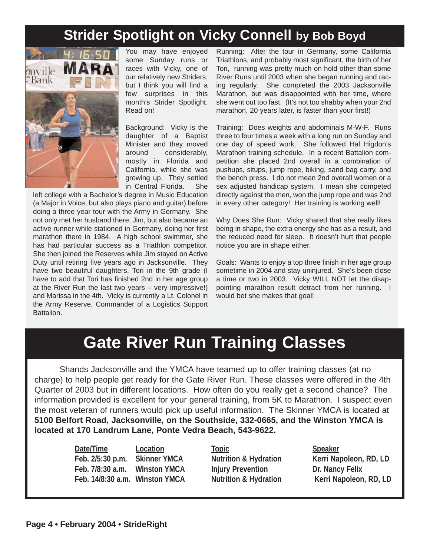## **Strider Spotlight on Vicky Connell by Bob Boyd**



You may have enjoyed some Sunday runs or races with Vicky, one of our relatively new Striders, but I think you will find a few surprises in this month's Strider Spotlight. Read on!

Background: Vicky is the daughter of a Baptist Minister and they moved around considerably, mostly in Florida and California, while she was growing up. They settled in Central Florida. She

left college with a Bachelor's degree in Music Education (a Major in Voice, but also plays piano and guitar) before doing a three year tour with the Army in Germany. She not only met her husband there, Jim, but also became an active runner while stationed in Germany, doing her first marathon there in 1984. A high school swimmer, she has had particular success as a Triathlon competitor. She then joined the Reserves while Jim stayed on Active Duty until retiring five years ago in Jacksonville. They have two beautiful daughters, Tori in the 9th grade (I have to add that Tori has finished 2nd in her age group at the River Run the last two years – very impressive!) and Marissa in the 4th. Vicky is currently a Lt. Colonel in the Army Reserve, Commander of a Logistics Support Battalion.

Running: After the tour in Germany, some California Triathlons, and probably most significant, the birth of her Tori, running was pretty much on hold other than some River Runs until 2003 when she began running and racing regularly. She completed the 2003 Jacksonville Marathon, but was disappointed with her time, where she went out too fast. (It's not too shabby when your 2nd marathon, 20 years later, is faster than your first!)

Training: Does weights and abdominals M-W-F. Runs three to four times a week with a long run on Sunday and one day of speed work. She followed Hal Higdon's Marathon training schedule. In a recent Battalion competition she placed 2nd overall in a combination of pushups, situps, jump rope, biking, sand bag carry, and the bench press. I do not mean 2nd overall women or a sex adjusted handicap system. I mean she competed directly against the men, won the jump rope and was 2nd in every other category! Her training is working well!

Why Does She Run: Vicky shared that she really likes being in shape, the extra energy she has as a result, and the reduced need for sleep. It doesn't hurt that people notice you are in shape either.

Goals: Wants to enjoy a top three finish in her age group sometime in 2004 and stay uninjured. She's been close a time or two in 2003. Vicky WILL NOT let the disappointing marathon result detract from her running. I would bet she makes that goal!

## **Gate River Run Training Classes**

Shands Jacksonville and the YMCA have teamed up to offer training classes (at no charge) to help people get ready for the Gate River Run. These classes were offered in the 4th Quarter of 2003 but in different locations. How often do you really get a second chance? The information provided is excellent for your general training, from 5K to Marathon. I suspect even the most veteran of runners would pick up useful information. The Skinner YMCA is located at **5100 Belfort Road, Jacksonville, on the Southside, 332-0665, and the Winston YMCA is located at 170 Landrum Lane, Ponte Vedra Beach, 543-9622.** 

> **Date/Time Location Topic Speaker** Feb. 2/5:30 p.m. Skinner YMCA Nutrition & Hydration Kerri Napoleon, RD, LD Feb. 7/8:30 a.m. Winston YMCA Injury Prevention Dr. Nancy Felix Feb. 14/8:30 a.m. Winston YMCA Nutrition & Hydration Kerri Napoleon, RD, LD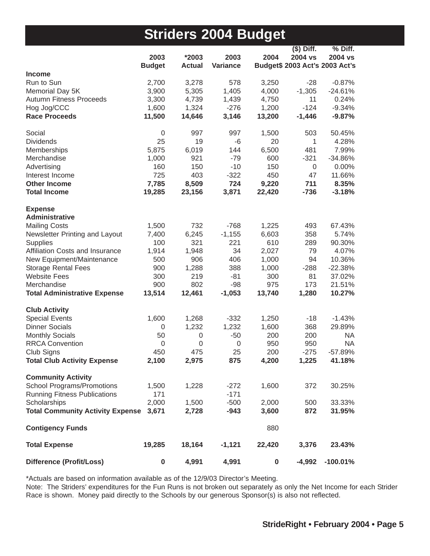## **Striders 2004 Budget**

|                                         |               |                |                 |                  | $($)$ Diff.                    | % Diff.    |
|-----------------------------------------|---------------|----------------|-----------------|------------------|--------------------------------|------------|
|                                         | 2003          | *2003          | 2003            | 2004             | 2004 vs                        | 2004 vs    |
| <b>Income</b>                           | <b>Budget</b> | <b>Actual</b>  | <b>Variance</b> |                  | Budget\$ 2003 Act's 2003 Act's |            |
| Run to Sun                              | 2,700         | 3,278          | 578             | 3,250            | $-28$                          | $-0.87%$   |
| Memorial Day 5K                         | 3,900         | 5,305          | 1,405           | 4,000            | $-1,305$                       | $-24.61%$  |
| <b>Autumn Fitness Proceeds</b>          | 3,300         | 4,739          | 1,439           | 4,750            | 11                             | 0.24%      |
| Hog Jog/CCC                             | 1,600         | 1,324          | $-276$          | 1,200            | $-124$                         | $-9.34%$   |
| <b>Race Proceeds</b>                    | 11,500        | 14,646         | 3,146           | 13,200           | $-1,446$                       | $-9.87%$   |
|                                         |               |                |                 |                  |                                |            |
| Social                                  | $\mathbf 0$   | 997            | 997             | 1,500            | 503                            | 50.45%     |
| <b>Dividends</b>                        | 25            | 19             | $-6$            | 20               | 1                              | 4.28%      |
| Memberships                             | 5,875         | 6,019          | 144             | 6,500            | 481                            | 7.99%      |
| Merchandise                             | 1,000         | 921            | $-79$           | 600              | $-321$                         | $-34.86%$  |
| Advertising                             | 160           | 150            | $-10$           | 150              | 0                              | 0.00%      |
| Interest Income                         | 725           | 403            | $-322$          | 450              | 47                             | 11.66%     |
| <b>Other Income</b>                     | 7,785         | 8,509          | 724             | 9,220            | 711                            | 8.35%      |
| <b>Total Income</b>                     | 19,285        | 23,156         | 3,871           | 22,420           | $-736$                         | $-3.18%$   |
|                                         |               |                |                 |                  |                                |            |
| <b>Expense</b>                          |               |                |                 |                  |                                |            |
| <b>Administrative</b>                   |               |                |                 |                  |                                |            |
| <b>Mailing Costs</b>                    | 1,500         | 732            | $-768$          | 1,225            | 493                            | 67.43%     |
| Newsletter Printing and Layout          | 7,400         | 6,245          | $-1,155$        | 6,603            | 358                            | 5.74%      |
| Supplies                                | 100           | 321            | 221             | 610              | 289                            | 90.30%     |
| Affiliation Costs and Insurance         | 1,914         | 1,948          | 34              | 2,027            | 79                             | 4.07%      |
| New Equipment/Maintenance               | 500           | 906            | 406             | 1,000            | 94                             | 10.36%     |
| <b>Storage Rental Fees</b>              | 900           | 1,288          | 388             | 1,000            | $-288$                         | $-22.38%$  |
| <b>Website Fees</b>                     | 300           | 219            | $-81$           | 300              | 81                             | 37.02%     |
| Merchandise                             | 900           | 802            | $-98$           | 975              | 173                            | 21.51%     |
| <b>Total Administrative Expense</b>     | 13,514        | 12,461         | $-1,053$        | 13,740           | 1,280                          | 10.27%     |
| <b>Club Activity</b>                    |               |                |                 |                  |                                |            |
| <b>Special Events</b>                   | 1,600         | 1,268          | $-332$          | 1,250            | $-18$                          | $-1.43%$   |
| <b>Dinner Socials</b>                   | 0             | 1,232          | 1,232           | 1,600            | 368                            | 29.89%     |
| <b>Monthly Socials</b>                  | 50            | 0              | $-50$           | 200              | 200                            | <b>NA</b>  |
| <b>RRCA Convention</b>                  | 0             | $\overline{0}$ | 0               | 950              | 950                            | <b>NA</b>  |
| Club Signs                              | 450           | 475            | 25              | 200              | $-275$                         | $-57.89%$  |
| <b>Total Club Activity Expense</b>      | 2,100         | 2,975          | 875             | 4,200            | 1,225                          | 41.18%     |
|                                         |               |                |                 |                  |                                |            |
| <b>Community Activity</b>               |               |                |                 |                  |                                |            |
| <b>School Programs/Promotions</b>       | 1,500         | 1,228          | $-272$          | 1,600            | 372                            | 30.25%     |
| <b>Running Fitness Publications</b>     | 171           |                | $-171$          |                  |                                |            |
| Scholarships                            | 2,000         | 1,500          | $-500$          | 2,000            | 500                            | 33.33%     |
| <b>Total Community Activity Expense</b> | 3,671         | 2,728          | $-943$          | 3,600            | 872                            | 31.95%     |
| <b>Contigency Funds</b>                 |               |                |                 | 880              |                                |            |
| <b>Total Expense</b>                    | 19,285        | 18,164         | $-1,121$        | 22,420           | 3,376                          | 23.43%     |
| <b>Difference (Profit/Loss)</b>         | 0             | 4,991          | 4,991           | $\boldsymbol{0}$ | $-4,992$                       | $-100.01%$ |

\*Actuals are based on information available as of the 12/9/03 Director's Meeting.

Note: The Striders' expenditures for the Fun Runs is not broken out separately as only the Net Income for each Strider Race is shown. Money paid directly to the Schools by our generous Sponsor(s) is also not reflected.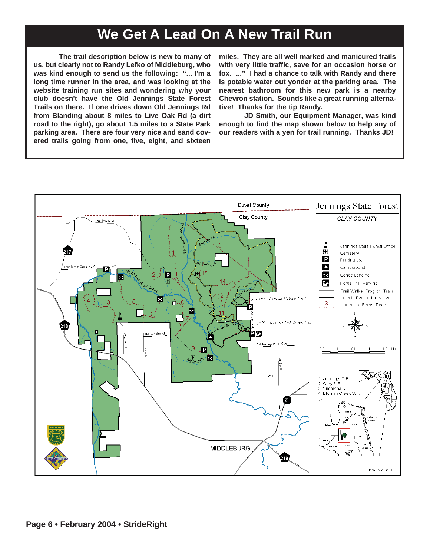## **We Get A Lead On A New Trail Run**

**The trail description below is new to many of us, but clearly not to Randy Lefko of Middleburg, who was kind enough to send us the following: "... I'm a long time runner in the area, and was looking at the website training run sites and wondering why your club doesn't have the Old Jennings State Forest Trails on there. If one drives down Old Jennings Rd from Blanding about 8 miles to Live Oak Rd (a dirt road to the right), go about 1.5 miles to a State Park parking area. There are four very nice and sand covered trails going from one, five, eight, and sixteen**

**miles. They are all well marked and manicured trails with very little traffic, save for an occasion horse or fox. ..." I had a chance to talk with Randy and there is potable water out yonder at the parking area. The nearest bathroom for this new park is a nearby Chevron station. Sounds like a great running alternative! Thanks for the tip Randy.** 

**JD Smith, our Equipment Manager, was kind enough to find the map shown below to help any of our readers with a yen for trail running. Thanks JD!**

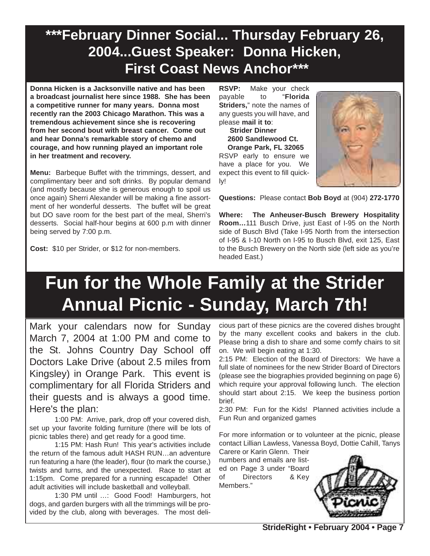## **\*\*\*February Dinner Social... Thursday February 26, 2004...Guest Speaker: Donna Hicken, First Coast News Anchor\*\*\***

**Donna Hicken is a Jacksonville native and has been a broadcast journalist here since 1988. She has been a competitive runner for many years. Donna most recently ran the 2003 Chicago Marathon. This was a tremendous achievement since she is recovering from her second bout with breast cancer. Come out and hear Donna's remarkable story of chemo and courage, and how running played an important role in her treatment and recovery.** 

**Menu:** Barbeque Buffet with the trimmings, dessert, and complimentary beer and soft drinks. By popular demand (and mostly because she is generous enough to spoil us once again) Sherri Alexander will be making a fine assortment of her wonderful desserts. The buffet will be great but DO save room for the best part of the meal, Sherri's desserts. Social half-hour begins at 600 p.m with dinner being served by 7:00 p.m.

**Cost:** \$10 per Strider, or \$12 for non-members.

**RSVP:** Make your check payable to "**Florida Striders,**" note the names of any guests you will have, and please **mail it to**:

**Strider Dinner 2600 Sandlewood Ct. Orange Park, FL 32065** RSVP early to ensure we have a place for you. We expect this event to fill quickly!



**Questions:** Please contact **Bob Boyd** at (904) **272-1770**

**Where: The Anheuser-Busch Brewery Hospitality Room…**111 Busch Drive, just East of I-95 on the North side of Busch Blvd (Take I-95 North from the intersection of I-95 & I-10 North on I-95 to Busch Blvd, exit 125, East to the Busch Brewery on the North side (left side as you're headed East.)

## **Fun for the Whole Family at the Strider Annual Picnic - Sunday, March 7th!**

Mark your calendars now for Sunday March 7, 2004 at 1:00 PM and come to the St. Johns Country Day School off Doctors Lake Drive (about 2.5 miles from Kingsley) in Orange Park. This event is complimentary for all Florida Striders and their guests and is always a good time. Here's the plan:

1:00 PM: Arrive, park, drop off your covered dish, set up your favorite folding furniture (there will be lots of picnic tables there) and get ready for a good time.

1:15 PM: Hash Run! This year's activities include the return of the famous adult HASH RUN…an adventure run featuring a hare (the leader), flour (to mark the course,) twists and turns, and the unexpected. Race to start at 1:15pm. Come prepared for a running escapade! Other adult activities will include basketball and volleyball.

1:30 PM until …: Good Food! Hamburgers, hot dogs, and garden burgers with all the trimmings will be provided by the club, along with beverages. The most delicious part of these picnics are the covered dishes brought by the many excellent cooks and bakers in the club. Please bring a dish to share and some comfy chairs to sit on. We will begin eating at 1:30.

2:15 PM: Election of the Board of Directors: We have a full slate of nominees for the new Strider Board of Directors (please see the biographies provided beginning on page 6) which require your approval following lunch. The election should start about 2:15. We keep the business portion brief.

2:30 PM: Fun for the Kids! Planned activities include a Fun Run and organized games

For more information or to volunteer at the picnic, please contact Lillian Lawless, Vanessa Boyd, Dottie Cahill, Tanys

Carere or Karin Glenn. Their numbers and emails are listed on Page 3 under "Board of Directors & Key Members."

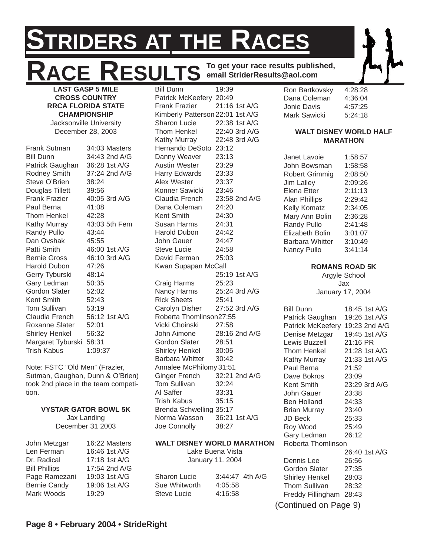## **STRIDERS AT THE RACES ACE RESULTS** To get your race results published,<br>LAST GASP 5 MILE<br>RAST GASP 5 MILE Bill Dunn<br>Ron Bartkovsky **email StriderResults@aol.com**

**LAST GASP 5 MILE CROSS COUNTRY RRCA FLORIDA STATE CHAMPIONSHIP** Jacksonville University December 28, 2003

Frank Sutman 34:03 Masters Bill Dunn 34:43 2nd A/G Patrick Gaughan 36:28 1st A/G Rodney Smith 37:24 2nd A/G Steve O'Brien 38:24 Douglas Tillett 39:56 Frank Frazier 40:05 3rd A/G Paul Berna 41:08 Thom Henkel 42:28 Kathy Murray 43:03 5th Fem Randy Pullo 43:44 Dan Ovshak 45:55 Patti Smith 46:00 1st A/G Bernie Gross 46:10 3rd A/G Harold Dubon 47:26 Gerry Tyburski 48:14 Gary Ledman 50:35 Gordon Slater 52:02 Kent Smith 52:43 Tom Sullivan 53:19 Claudia French 56:12 1st A/G Roxanne Slater 52:01 Shirley Henkel 56:32 Margaret Tyburski 58:31 Trish Kabus 1:09:37

Note: FSTC "Old Men" (Frazier, Sutman, Gaughan, Dunn & O'Brien) took 2nd place in the team competition.

#### **VYSTAR GATOR BOWL 5K** Jax Landing December 31 2003

| John Metzgar         | 16:22 Masters |
|----------------------|---------------|
| Len Ferman           | 16:46 1st A/G |
| Dr. Radical          | 17:18 1st A/G |
| <b>Bill Phillips</b> | 17:54 2nd A/G |
| Page Ramezani        | 19:03 1st A/G |
| <b>Bernie Candy</b>  | 19:06 1st A/G |
| Mark Woods           | 19:29         |

**Bill Dunn** Patrick McKeefery 20:49 Frank Frazier 21:16 1st A/G Kimberly Patterson 22:01 1st A/G Sharon Lucie 22:38 1st A/G Thom Henkel 22:40 3rd A/G Kathy Murray 22:48 3rd A/G Hernando DeSoto 23:12 Danny Weaver 23:13 Austin Wester 23:29 Harry Edwards 23:33 Alex Wester 23:37 Konner Sawicki 23:46 Claudia French 23:58 2nd A/G Dana Coleman 24:20 Kent Smith 24:30 Susan Harms 24:31 Harold Dubon 24:42 John Gauer 24:47 Steve Lucie 24:58 David Ferman 25:03 Kwan Supapan McCall 25:19 1st A/G Craig Harms 25:23 Nancy Harms 25:24 3rd A/G Rick Sheets 25:41 Carolyn Disher 27:52 3rd A/G Roberta Thomlinson27:55 Vicki Choinski 27:58 John Aimone 28:16 2nd A/G Gordon Slater 28:51 Shirley Henkel 30:05 Barbara Whitter 30:42 Annalee McPhilomy 31:51 Ginger French 32:21 2nd A/G Tom Sullivan 32:24 Al Saffer 33:31 Trish Kabus 35:15 Brenda Schwelling 35:17 Norma Wasson 36:21 1st A/G Joe Connolly 38:27 **WALT DISNEY WORLD MARATHON**

### January 11. 2004 Sharon Lucie 3:44:47 4th A/G Sue Whitworth 4:05:58 Steve Lucie 4:16:58

Lake Buena Vista

Ron Bartkovsky 4:28:28 Dana Coleman 4:36:04 Jonie Davis 4:57:25 Mark Sawicki 5:24:18

#### **WALT DISNEY WORLD HALF MARATHON**

| Janet Lavoie           | 1:58:57 |
|------------------------|---------|
| John Bowsman           | 1:58:58 |
| <b>Robert Grimmig</b>  | 2:08:50 |
| <b>Jim Lalley</b>      | 2:09:26 |
| Elena Etter            | 2:11:13 |
| <b>Alan Phillips</b>   | 2:29:42 |
| Kelly Komatz           | 2:34:05 |
| Mary Ann Bolin         | 2:36:28 |
| <b>Randy Pullo</b>     | 2:41:48 |
| <b>Elizabeth Bolin</b> | 3:01:07 |
| <b>Barbara Whitter</b> | 3:10:49 |
| Nancy Pullo            | 3:41:14 |

### **ROMANS ROAD 5K**

Argyle School Jax

| January 17, 2004 |  |
|------------------|--|
|------------------|--|

| <b>Bill Dunn</b>      | 18:45 1st A/G |
|-----------------------|---------------|
| Patrick Gaughan       | 19:26 1st A/G |
| Patrick McKeefery     | 19:23 2nd A/G |
| Denise Metzgar        | 19:45 1st A/G |
| Lewis Buzzell         | $21:16$ PR    |
| <b>Thom Henkel</b>    | 21:28 1st A/G |
| Kathy Murray          | 21:33 1st A/G |
| Paul Berna            | 21:52         |
| Dave Bokros           | 23:09         |
| Kent Smith            | 23:29 3rd A/G |
| John Gauer            | 23:38         |
| Ben Holland           | 24:33         |
| <b>Brian Murray</b>   | 23:40         |
| <b>JD Beck</b>        | 25:33         |
| Roy Wood              | 25:49         |
| Gary Ledman           | 26:12         |
| Roberta Thomlinson    |               |
|                       | 26:40 1st A/G |
| Dennis Lee            | 26:56         |
| Gordon Slater         | 27:35         |
| <b>Shirley Henkel</b> | 28:03         |
| <b>Thom Sullivan</b>  | 28:32         |
| Freddy Fillingham     | 28:43         |
| (Continued on Page 9) |               |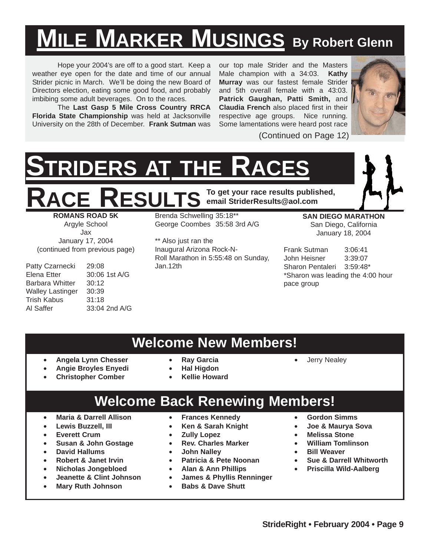## **MILE MARKER MUSINGS By Robert Glenn**

Hope your 2004's are off to a good start. Keep a weather eye open for the date and time of our annual Strider picnic in March. We'll be doing the new Board of Directors election, eating some good food, and probably imbibing some adult beverages. On to the races.

The **Last Gasp 5 Mile Cross Country RRCA Florida State Championship** was held at Jacksonville University on the 28th of December. **Frank Sutman** was

our top male Strider and the Masters Male champion with a 34:03. **Kathy Murray** was our fastest female Strider and 5th overall female with a 43:03. **Patrick Gaughan, Patti Smith,** and **Claudia French** also placed first in their respective age groups. Nice running. Some lamentations were heard post race



(Continued on Page 12)

# **STRIDERS AT THE RACES**

**RACE RESULTS To get your race results published, email StriderResults@aol.com**

**ROMANS ROAD 5K** Argyle School Jax January 17, 2004 (continued from previous page)

Patty Czarnecki 29:08 Elena Etter 30:06 1st A/G Barbara Whitter 30:12 Walley Lastinger 30:39 Trish Kabus 31:18 Al Saffer 33:04 2nd A/G Brenda Schwelling 35:18\*\* George Coombes 35:58 3rd A/G

\*\* Also just ran the Inaugural Arizona Rock-N-Roll Marathon in 5:55:48 on Sunday, Jan.12th

**SAN DIEGO MARATHON** San Diego, California January 18, 2004

Frank Sutman 3:06:41 John Heisner 3:39:07 Sharon Pentaleri 3:59:48\* \*Sharon was leading the 4:00 hour pace group

### **Welcome New Members!**

- **Angela Lynn Chesser**
	- **Angie Broyles Enyedi**
		-
	- **Christopher Comber**
- **Ray Garcia** • **Hal Higdon**
- **Kellie Howard**

### **Welcome Back Renewing Members!**

- **Maria & Darrell Allison**
- **Lewis Buzzell, III**
- **Everett Crum**
- **Susan & John Gostage**
- **David Hallums**
- **Robert & Janet Irvin**
- **Nicholas Jongebloed**
- **Jeanette & Clint Johnson**
- **Mary Ruth Johnson**
- **Frances Kennedy**
- **Ken & Sarah Knight**
- **Zully Lopez**
- **Rev. Charles Marker**
- **John Nalley**
- **Patricia & Pete Noonan**
- **Alan & Ann Phillips**
- **James & Phyllis Renninger**
- **Babs & Dave Shutt**

• **Gordon Simms**

• Jerry Nealey

- **Joe & Maurya Sova**
- **Melissa Stone**
- **William Tomlinson**
- **Bill Weaver**
- **Sue & Darrell Whitworth**
- **Priscilla Wild-Aalberg**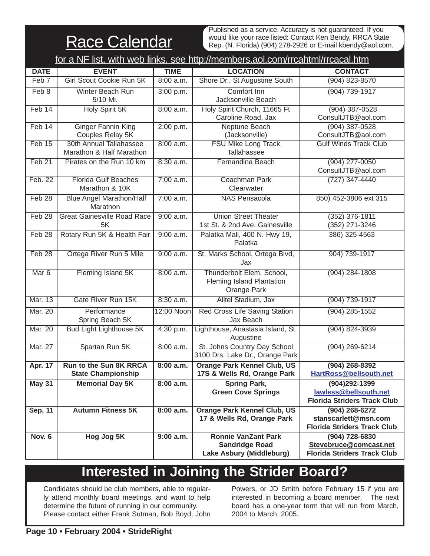**Race Calendar** 

Published as a service. Accuracy is not guaranteed. If you would like your race listed: Contact Ken Bendy, RRCA State Rep. (N. Florida) (904) 278-2926 or E-mail kbendy@aol.com.

| for a NF list, with web links, see http://members.aol.com/rrcahtml/rrcacal.htm |                                                            |             |                                                                                 |                                                                                    |  |  |  |
|--------------------------------------------------------------------------------|------------------------------------------------------------|-------------|---------------------------------------------------------------------------------|------------------------------------------------------------------------------------|--|--|--|
| <b>DATE</b>                                                                    | <b>EVENT</b>                                               | <b>TIME</b> | <b>LOCATION</b>                                                                 | <b>CONTACT</b>                                                                     |  |  |  |
| Feb 7                                                                          | Girl Scout Cookie Run 5K                                   | $8:00$ a.m. | Shore Dr., St Augustine South                                                   | $(904) 823 - 8570$                                                                 |  |  |  |
| Feb 8                                                                          | Winter Beach Run<br>5/10 Mi.                               | 3:00 p.m.   | Comfort Inn<br>Jacksonville Beach                                               | (904) 739-1917                                                                     |  |  |  |
| Feb 14                                                                         | Holy Spirit 5K                                             | 8:00 a.m.   | Holy Spirit Church, 11665 Ft<br>Caroline Road, Jax                              | $(904)$ 387-0528<br>ConsultJTB@aol.com                                             |  |  |  |
| Feb 14                                                                         | <b>Ginger Fannin King</b><br>Couples Relay 5K              | 2:00 p.m.   | Neptune Beach<br>(Jacksonville)                                                 | $(904)$ 387-0528<br>ConsultJTB@aol.com                                             |  |  |  |
| Feb 15                                                                         | 30th Annual Tallahassee<br>Marathon & Half Marathon        | 8:00 a.m.   | <b>FSU Mike Long Track</b><br>Tallahassee                                       | <b>Gulf Winds Track Club</b>                                                       |  |  |  |
| Feb <sub>21</sub>                                                              | Pirates on the Run 10 km                                   | 8:30 a.m.   | Fernandina Beach                                                                | $(904)$ 277-0050<br>ConsultJTB@aol.com                                             |  |  |  |
| Feb. 22                                                                        | <b>Florida Gulf Beaches</b><br>Marathon & 10K              | 7:00 a.m.   | Coachman Park<br>Clearwater                                                     | $(727)$ 347-4440                                                                   |  |  |  |
| Feb <sub>28</sub>                                                              | <b>Blue Angel Marathon/Half</b><br>Marathon                | 7:00 a.m.   | <b>NAS Pensacola</b>                                                            | 850) 452-3806 ext 315                                                              |  |  |  |
| Feb 28                                                                         | <b>Great Gainesville Road Race</b><br>5K                   | 9:00 a.m.   | <b>Union Street Theater</b><br>1st St. & 2nd Ave. Gainesville                   | $(352)$ 376-1811<br>(352) 271-3246                                                 |  |  |  |
| Feb 28                                                                         | Rotary Run 5K & Health Fair                                | $9:00$ a.m. | Palatka Mall, 400 N. Hwy 19,<br>Palatka                                         | 386) 325-4563                                                                      |  |  |  |
| Feb <sub>28</sub>                                                              | Ortega River Run 5 Mile                                    | 9:00 a.m.   | St. Marks School, Ortega Blvd,<br>Jax                                           | 904) 739-1917                                                                      |  |  |  |
| Mar <sub>6</sub>                                                               | Fleming Island 5K                                          | 8:00 a.m.   | Thunderbolt Elem. School,<br>Fleming Island Plantation<br>Orange Park           | $(904)$ 284-1808                                                                   |  |  |  |
| Mar. 13                                                                        | Gate River Run 15K                                         | $8:30$ a.m. | Alltel Stadium, Jax                                                             | (904) 739-1917                                                                     |  |  |  |
| <b>Mar. 20</b>                                                                 | Performance<br>Spring Beach 5K                             | 12:00 Noon  | Red Cross Life Saving Station<br>Jax Beach                                      | $(904)$ 285-1552                                                                   |  |  |  |
| <b>Mar. 20</b>                                                                 | <b>Bud Light Lighthouse 5K</b>                             | 4:30 p.m.   | Lighthouse, Anastasia Island, St.<br>Augustine                                  | $(904) 824 - 3939$                                                                 |  |  |  |
| Mar. 27                                                                        | Spartan Run 5K                                             | 8:00 a.m.   | St. Johns Country Day School<br>3100 Drs. Lake Dr., Orange Park                 | $(904)$ 269-6214                                                                   |  |  |  |
| <b>Apr. 17</b>                                                                 | <b>Run to the Sun 8K RRCA</b><br><b>State Championship</b> | 8:00 a.m.   | <b>Orange Park Kennel Club, US</b><br>17S & Wells Rd, Orange Park               | (904) 268-8392<br>HartRoss@bellsouth.net                                           |  |  |  |
| <b>May 31</b>                                                                  | <b>Memorial Day 5K</b>                                     | 8:00 a.m.   | <b>Spring Park,</b><br><b>Green Cove Springs</b>                                | $(904)292 - 1399$<br>lawless@bellsouth.net<br><b>Florida Striders Track Club</b>   |  |  |  |
| Sep. 11                                                                        | <b>Autumn Fitness 5K</b>                                   | 8:00 a.m.   | <b>Orange Park Kennel Club, US</b><br>17 & Wells Rd, Orange Park                | $(904)$ 268-6272<br>stanscarlett@msn.com<br><b>Florida Striders Track Club</b>     |  |  |  |
| <b>Nov. 6</b>                                                                  | Hog Jog 5K                                                 | 9:00 a.m.   | <b>Ronnie VanZant Park</b><br><b>Sandridge Road</b><br>Lake Asbury (Middleburg) | $(904) 728 - 6830$<br>Stevebruce@comcast.net<br><b>Florida Striders Track Club</b> |  |  |  |

## **Interested in Joining the Strider Board?**

Candidates should be club members, able to regularly attend monthly board meetings, and want to help determine the future of running in our community. Please contact either Frank Sutman, Bob Boyd, John

Powers, or JD Smith before February 15 if you are interested in becoming a board member. The next board has a one-year term that will run from March, 2004 to March, 2005.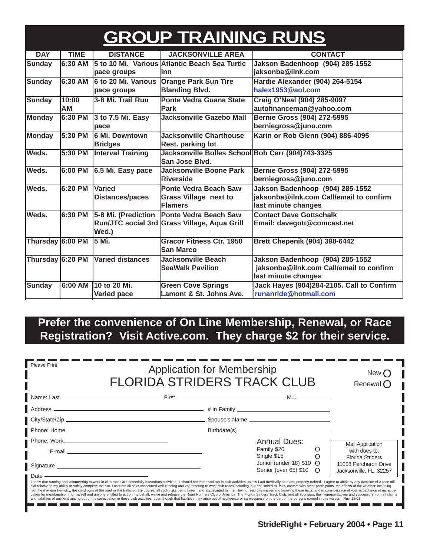## **GROUP TRAINING RUNS**

| <b>DAY</b>       | <b>TIME</b> | <b>DISTANCE</b>            | <b>JACKSONVILLE AREA</b>                          | <b>CONTACT</b>                            |
|------------------|-------------|----------------------------|---------------------------------------------------|-------------------------------------------|
| <b>Sunday</b>    | 6:30 AM     |                            | 5 to 10 Mi. Various Atlantic Beach Sea Turtle     | Jakson Badenhoop (904) 285-1552           |
|                  |             | pace groups                | llnn                                              | jaksonba@ilnk.com                         |
| <b>Sunday</b>    | 6:30 AM     | <b>6 to 20 Mi. Various</b> | <b>Orange Park Sun Tire</b>                       | Hardie Alexander (904) 264-5154           |
|                  |             | pace groups                | <b>Blanding Blvd.</b>                             | halex1953@aol.com                         |
| <b>Sunday</b>    | 10:00       | 3-8 Mi. Trail Run          | <b>Ponte Vedra Guana State</b>                    | Craig O'Neal (904) 285-9097               |
|                  | AМ          |                            | <b>Park</b>                                       | autofinanceman@yahoo.com                  |
| <b>Monday</b>    | 6:30 PM     | 3 to 7.5 Mi. Easy          | <b>Jacksonville Gazebo Mall</b>                   | <b>Bernie Gross (904) 272-5995</b>        |
|                  |             | pace                       |                                                   | berniegross@juno.com                      |
| <b>Monday</b>    | 5:30 PM     | <b>6 Mi. Downtown</b>      | <b>Jacksonville Charthouse</b>                    | Karin or Rob Glenn (904) 886-4095         |
|                  |             | <b>Bridges</b>             | Rest. parking lot                                 |                                           |
| lWeds.           | 5:30 PM     | <b>Interval Training</b>   | Jacksonville Bolles School Bob Carr (904)743-3325 |                                           |
|                  |             |                            | San Jose Blvd.                                    |                                           |
| Weds.            | $6:00$ PM   | 6.5 Mi. Easy pace          | <b>Jacksonville Boone Park</b>                    | Bernie Gross (904) 272-5995               |
|                  |             |                            | <b>Riverside</b>                                  | berniegross@juno.com                      |
| Weds.            | 6:20 PM     | <b>Varied</b>              | <b>Ponte Vedra Beach Saw</b>                      | Jakson Badenhoop (904) 285-1552           |
|                  |             | <b>Distances/paces</b>     | <b>Grass Village next to</b>                      | jaksonba@ilnk.com Call/email to confirm   |
|                  |             |                            | Flamers                                           | last minute changes                       |
| Weds.            | 6:30 PM     |                            | 5-8 Mi. (Prediction   Ponte Vedra Beach Saw       | <b>Contact Dave Gottschalk</b>            |
|                  |             |                            | Run/JTC social 3rd Grass Village, Aqua Grill      | Email: davegott@comcast.net               |
|                  |             | Wed.)                      |                                                   |                                           |
| Thursday 6:00 PM |             | 15 Mi.                     | <b>Gracor Fitness Ctr. 1950</b>                   | <b>Brett Chepenik (904) 398-6442</b>      |
|                  |             |                            | <b>San Marco</b>                                  |                                           |
| Thursday 6:20 PM |             | <b>Varied distances</b>    | <b>Jacksonville Beach</b>                         | Jakson Badenhoop (904) 285-1552           |
|                  |             |                            | <b>SeaWalk Pavilion</b>                           | jaksonba@ilnk.com Call/email to confirm   |
|                  |             |                            |                                                   | last minute changes                       |
| Sunday           | 6:00 AM     | 10 to 20 Mi.               | <b>Green Cove Springs</b>                         | Jack Hayes (904)284-2105. Call to Confirm |
|                  |             | Varied pace                | Lamont & St. Johns Ave.                           | runanride@hotmail.com                     |

### **Prefer the convenience of On Line Membership, Renewal, or Race Registration? Visit Active.com. They charge \$2 for their service.**

| Please Print<br><b>Application for Membership</b><br><b>FLORIDA STRIDERS TRACK CLUB</b> |                                                                                                                                                                                                                                                                                                                                                                                                                                                                                                                                                                                                                                                                                                                                                                                                                                                                                                                                                                                                                                                                                                                                                                                                                                  |                                                           | New (<br>Renewal $\bigcap$                                          |
|-----------------------------------------------------------------------------------------|----------------------------------------------------------------------------------------------------------------------------------------------------------------------------------------------------------------------------------------------------------------------------------------------------------------------------------------------------------------------------------------------------------------------------------------------------------------------------------------------------------------------------------------------------------------------------------------------------------------------------------------------------------------------------------------------------------------------------------------------------------------------------------------------------------------------------------------------------------------------------------------------------------------------------------------------------------------------------------------------------------------------------------------------------------------------------------------------------------------------------------------------------------------------------------------------------------------------------------|-----------------------------------------------------------|---------------------------------------------------------------------|
|                                                                                         |                                                                                                                                                                                                                                                                                                                                                                                                                                                                                                                                                                                                                                                                                                                                                                                                                                                                                                                                                                                                                                                                                                                                                                                                                                  |                                                           |                                                                     |
|                                                                                         |                                                                                                                                                                                                                                                                                                                                                                                                                                                                                                                                                                                                                                                                                                                                                                                                                                                                                                                                                                                                                                                                                                                                                                                                                                  |                                                           |                                                                     |
|                                                                                         |                                                                                                                                                                                                                                                                                                                                                                                                                                                                                                                                                                                                                                                                                                                                                                                                                                                                                                                                                                                                                                                                                                                                                                                                                                  |                                                           |                                                                     |
|                                                                                         |                                                                                                                                                                                                                                                                                                                                                                                                                                                                                                                                                                                                                                                                                                                                                                                                                                                                                                                                                                                                                                                                                                                                                                                                                                  |                                                           |                                                                     |
|                                                                                         |                                                                                                                                                                                                                                                                                                                                                                                                                                                                                                                                                                                                                                                                                                                                                                                                                                                                                                                                                                                                                                                                                                                                                                                                                                  | <b>Annual Dues:</b>                                       | <b>Mail Application</b>                                             |
|                                                                                         | E-mail experience and the contract of the contract of the contract of the contract of the contract of the contract of the contract of the contract of the contract of the contract of the contract of the contract of the cont                                                                                                                                                                                                                                                                                                                                                                                                                                                                                                                                                                                                                                                                                                                                                                                                                                                                                                                                                                                                   | Family \$20<br>O<br>Single \$15                           | with dues to:                                                       |
|                                                                                         | Signature Signature Signature Signature Signature Signature Signature Signature Signature Signature Signature Signature Signature Signature Signature Signature Signature Signature Signature Signature Signature Signature Si                                                                                                                                                                                                                                                                                                                                                                                                                                                                                                                                                                                                                                                                                                                                                                                                                                                                                                                                                                                                   | Junior (under 18) $$10 \Omega$<br>Senior (over 65) \$10 O | Florida Striders<br>11058 Percheron Drive<br>Jacksonville, FL 32257 |
| $\blacksquare$ Date $\blacksquare$                                                      | <u> 1989 - Johann Barn, amerikansk politiker (d. 1989)</u><br>I know that running and volunteering to work in club races are potentially hazardous activities. I should not enter and run in club activities unless I am medically able and properly trained. I agree to abide by any decisi<br>cial relative to my ability to safely complete the run. I assume all risks associated with running and volunteering to work club races including, but not limited to, falls, contact with other participants, the effects of t<br>high heat and/or humidity, the conditions of the road or the traffic on the course, all such risks being known and appreciated by me. Having read this waiver and knowing these facts, and in consideration of your acceptance<br>cation for membership, I, for myself and anyone entitled to act on my behalf, waive and release the Road Runners Club of America, The Florida Striders Track Club, and all sponsors, their representatives and successors from<br>and liabilities of any kind arising out of my participation in these club activities, even though that liabilities may arise out of negligence or carelessness on the part of the persons named in this waiver. Rev. 12/01 |                                                           |                                                                     |

-----------